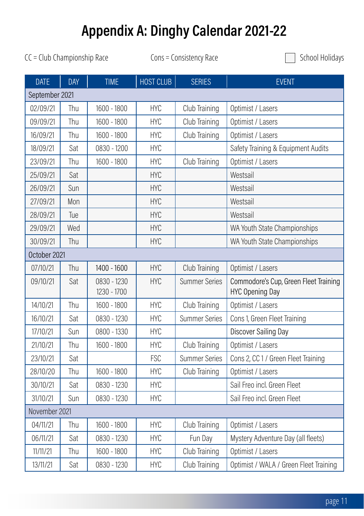## Appendix A: Dinghy Calendar 2021-22

 $CC = Club$  Championship Race Cons = Consistency Race  $\Box$  School Holidays

| <b>DATE</b>    | <b>DAY</b> | <b>TIME</b>                | HOST CLUB  | <b>SERIES</b>        | <b>EVENT</b>                                                    |  |
|----------------|------------|----------------------------|------------|----------------------|-----------------------------------------------------------------|--|
| September 2021 |            |                            |            |                      |                                                                 |  |
| 02/09/21       | Thu        | 1600 - 1800                | <b>HYC</b> | Club Training        | Optimist / Lasers                                               |  |
| 09/09/21       | Thu        | 1600 - 1800                | <b>HYC</b> | Club Training        | Optimist / Lasers                                               |  |
| 16/09/21       | Thu        | 1600 - 1800                | <b>HYC</b> | Club Training        | Optimist / Lasers                                               |  |
| 18/09/21       | Sat        | 0830 - 1200                | <b>HYC</b> |                      | Safety Training & Equipment Audits                              |  |
| 23/09/21       | Thu        | 1600 - 1800                | <b>HYC</b> | Club Training        | Optimist / Lasers                                               |  |
| 25/09/21       | Sat        |                            | <b>HYC</b> |                      | Westsail                                                        |  |
| 26/09/21       | Sun        |                            | <b>HYC</b> |                      | Westsail                                                        |  |
| 27/09/21       | Mon        |                            | <b>HYC</b> |                      | Westsail                                                        |  |
| 28/09/21       | Tue        |                            | <b>HYC</b> |                      | Westsail                                                        |  |
| 29/09/21       | Wed        |                            | <b>HYC</b> |                      | WA Youth State Championships                                    |  |
| 30/09/21       | Thu        |                            | <b>HYC</b> |                      | WA Youth State Championships                                    |  |
| October 2021   |            |                            |            |                      |                                                                 |  |
| 07/10/21       | Thu        | $1400 - 1600$              | <b>HYC</b> | Club Training        | Optimist / Lasers                                               |  |
| 09/10/21       | Sat        | 0830 - 1230<br>1230 - 1700 | <b>HYC</b> | <b>Summer Series</b> | Commodore's Cup, Green Fleet Training<br><b>HYC Opening Day</b> |  |
| 14/10/21       | Thu        | 1600 - 1800                | <b>HYC</b> | Club Training        | Optimist / Lasers                                               |  |
| 16/10/21       | Sat        | 0830 - 1230                | <b>HYC</b> | <b>Summer Series</b> | Cons 1, Green Fleet Training                                    |  |
| 17/10/21       | Sun        | 0800 - 1330                | <b>HYC</b> |                      | Discover Sailing Day                                            |  |
| 21/10/21       | Thu        | 1600 - 1800                | <b>HYC</b> | Club Training        | Optimist / Lasers                                               |  |
| 23/10/21       | Sat        |                            | <b>FSC</b> | <b>Summer Series</b> | Cons 2, CC 1 / Green Fleet Training                             |  |
| 28/10/20       | Thu        | 1600 - 1800                | <b>HYC</b> | Club Training        | Optimist / Lasers                                               |  |
| 30/10/21       | Sat        | 0830 - 1230                | <b>HYC</b> |                      | Sail Freo incl. Green Fleet                                     |  |
| 31/10/21       | Sun        | 0830 - 1230                | <b>HYC</b> |                      | Sail Freo incl. Green Fleet                                     |  |
| November 2021  |            |                            |            |                      |                                                                 |  |
| 04/11/21       | Thu        | 1600 - 1800                | <b>HYC</b> | Club Training        | Optimist / Lasers                                               |  |
| 06/11/21       | Sat        | 0830 - 1230                | <b>HYC</b> | Fun Day              | Mystery Adventure Day (all fleets)                              |  |
| 11/11/21       | Thu        | 1600 - 1800                | <b>HYC</b> | Club Training        | Optimist / Lasers                                               |  |
| 13/11/21       | Sat        | 0830 - 1230                | <b>HYC</b> | Club Training        | Optimist / WALA / Green Fleet Training                          |  |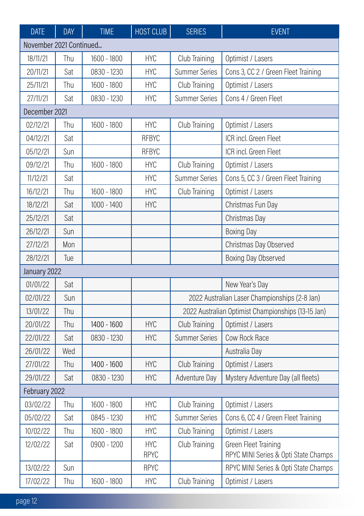| <b>DATE</b>             | <b>DAY</b> | <b>TIME</b>   | <b>HOST CLUB</b> | <b>SERIES</b>                                      | <b>EVENT</b>                                  |  |
|-------------------------|------------|---------------|------------------|----------------------------------------------------|-----------------------------------------------|--|
| November 2021 Continued |            |               |                  |                                                    |                                               |  |
| 18/11/21                | Thu        | 1600 - 1800   | <b>HYC</b>       | Club Training                                      | Optimist / Lasers                             |  |
| 20/11/21                | Sat        | 0830 - 1230   | <b>HYC</b>       | <b>Summer Series</b>                               | Cons 3, CC 2 / Green Fleet Training           |  |
| 25/11/21                | Thu        | 1600 - 1800   | <b>HYC</b>       | Club Training                                      | Optimist / Lasers                             |  |
| 27/11/21                | Sat        | 0830 - 1230   | <b>HYC</b>       | Summer Series                                      | Cons 4 / Green Fleet                          |  |
| December 2021           |            |               |                  |                                                    |                                               |  |
| 02/12/21                | Thu        | 1600 - 1800   | <b>HYC</b>       | Club Training                                      | Optimist / Lasers                             |  |
| 04/12/21                | Sat        |               | <b>RFBYC</b>     |                                                    | ICR incl. Green Fleet                         |  |
| 05/12/21                | Sun        |               | <b>RFBYC</b>     |                                                    | ICR incl. Green Fleet                         |  |
| 09/12/21                | Thu        | 1600 - 1800   | <b>HYC</b>       | Club Training                                      | Optimist / Lasers                             |  |
| 11/12/21                | Sat        |               | <b>HYC</b>       | Summer Series                                      | Cons 5, CC 3 / Green Fleet Training           |  |
| 16/12/21                | Thu        | 1600 - 1800   | <b>HYC</b>       | Club Training                                      | Optimist / Lasers                             |  |
| 18/12/21                | Sat        | $1000 - 1400$ | <b>HYC</b>       |                                                    | Christmas Fun Day                             |  |
| 25/12/21                | Sat        |               |                  |                                                    | Christmas Day                                 |  |
| 26/12/21                | Sun        |               |                  |                                                    | <b>Boxing Day</b>                             |  |
| 27/12/21                | Mon        |               |                  |                                                    | Christmas Day Observed                        |  |
| 28/12/21                | Tue        |               |                  |                                                    | Boxing Day Observed                           |  |
| January 2022            |            |               |                  |                                                    |                                               |  |
| 01/01/22                | Sat        |               |                  |                                                    | New Year's Day                                |  |
| 02/01/22                | Sun        |               |                  |                                                    | 2022 Australian Laser Championships (2-8 Jan) |  |
| 13/01/22                | Thu        |               |                  | 2022 Australian Optimist Championships (13-15 Jan) |                                               |  |
| 20/01/22                | Thu        | 1400 - 1600   | <b>HYC</b>       | Club Training                                      | Optimist / Lasers                             |  |
| 22/01/22                | Sat        | 0830 - 1230   | <b>HYC</b>       | <b>Summer Series</b>                               | Cow Rock Race                                 |  |
| 26/01/22                | Wed        |               |                  |                                                    | Australia Day                                 |  |
| 27/01/22                | Thu        | 1400 - 1600   | <b>HYC</b>       | Club Training                                      | Optimist / Lasers                             |  |
| 29/01/22                | Sat        | 0830 - 1230   | <b>HYC</b>       | Adventure Day                                      | Mystery Adventure Day (all fleets)            |  |
| February 2022           |            |               |                  |                                                    |                                               |  |
| 03/02/22                | Thu        | 1600 - 1800   | <b>HYC</b>       | Club Training                                      | Optimist / Lasers                             |  |
| 05/02/22                | Sat        | 0845 - 1230   | <b>HYC</b>       | <b>Summer Series</b>                               | Cons 6, CC 4 / Green Fleet Training           |  |
| 10/02/22                | Thu        | 1600 - 1800   | <b>HYC</b>       | Club Training                                      | Optimist / Lasers                             |  |
| 12/02/22                | Sat        | 0900 - 1200   | HYC              | Club Training                                      | Green Fleet Training                          |  |
|                         |            |               | <b>RPYC</b>      |                                                    | RPYC MINI Series & Opti State Champs          |  |
| 13/02/22                | Sun        |               | <b>RPYC</b>      |                                                    | RPYC MINI Series & Opti State Champs          |  |
| 17/02/22                | Thu        | 1600 - 1800   | <b>HYC</b>       | Club Training                                      | Optimist / Lasers                             |  |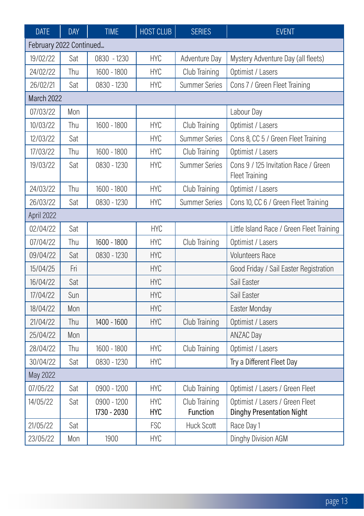| <b>DATE</b>             | <b>DAY</b> | <b>TIME</b>                | HOST CLUB                | <b>SERIES</b>             | <b>EVENT</b>                                                        |  |
|-------------------------|------------|----------------------------|--------------------------|---------------------------|---------------------------------------------------------------------|--|
| February 2022 Continued |            |                            |                          |                           |                                                                     |  |
| 19/02/22                | Sat        | 0830 - 1230                | <b>HYC</b>               | Adventure Day             | Mystery Adventure Day (all fleets)                                  |  |
| 24/02/22                | Thu        | 1600 - 1800                | <b>HYC</b>               | Club Training             | Optimist / Lasers                                                   |  |
| 26/02/21                | Sat        | 0830 - 1230                | <b>HYC</b>               | <b>Summer Series</b>      | Cons 7 / Green Fleet Training                                       |  |
| March 2022              |            |                            |                          |                           |                                                                     |  |
| 07/03/22                | Mon        |                            |                          |                           | Labour Day                                                          |  |
| 10/03/22                | Thu        | 1600 - 1800                | <b>HYC</b>               | Club Training             | Optimist / Lasers                                                   |  |
| 12/03/22                | Sat        |                            | <b>HYC</b>               | <b>Summer Series</b>      | Cons 8, CC 5 / Green Fleet Training                                 |  |
| 17/03/22                | Thu        | 1600 - 1800                | <b>HYC</b>               | Club Training             | Optimist / Lasers                                                   |  |
| 19/03/22                | Sat        | 0830 - 1230                | <b>HYC</b>               | <b>Summer Series</b>      | Cons 9 / 125 Invitation Race / Green<br>Fleet Training              |  |
| 24/03/22                | Thu        | 1600 - 1800                | <b>HYC</b>               | Club Training             | Optimist / Lasers                                                   |  |
| 26/03/22                | Sat        | 0830 - 1230                | <b>HYC</b>               | <b>Summer Series</b>      | Cons 10, CC 6 / Green Fleet Training                                |  |
| April 2022              |            |                            |                          |                           |                                                                     |  |
| 02/04/22                | Sat        |                            | <b>HYC</b>               |                           | Little Island Race / Green Fleet Training                           |  |
| 07/04/22                | Thu        | 1600 - 1800                | <b>HYC</b>               | Club Training             | Optimist / Lasers                                                   |  |
| 09/04/22                | Sat        | 0830 - 1230                | <b>HYC</b>               |                           | <b>Volunteers Race</b>                                              |  |
| 15/04/25                | Fri        |                            | <b>HYC</b>               |                           | Good Friday / Sail Easter Registration                              |  |
| 16/04/22                | Sat        |                            | <b>HYC</b>               |                           | Sail Easter                                                         |  |
| 17/04/22                | Sun        |                            | <b>HYC</b>               |                           | Sail Easter                                                         |  |
| 18/04/22                | Mon        |                            | <b>HYC</b>               |                           | Easter Monday                                                       |  |
| 21/04/22                | Thu        | 1400 - 1600                | <b>HYC</b>               | Club Training             | Optimist / Lasers                                                   |  |
| 25/04/22                | Mon        |                            |                          |                           | ANZAC Day                                                           |  |
| 28/04/22                | Thu        | 1600 - 1800                | <b>HYC</b>               | Club Training             | Optimist / Lasers                                                   |  |
| 30/04/22                | Sat        | 0830 - 1230                | <b>HYC</b>               |                           | Try a Different Fleet Day                                           |  |
| May 2022                |            |                            |                          |                           |                                                                     |  |
| 07/05/22                | Sat        | 0900 - 1200                | <b>HYC</b>               | Club Training             | Optimist / Lasers / Green Fleet                                     |  |
| 14/05/22                | Sat        | 0900 - 1200<br>1730 - 2030 | <b>HYC</b><br><b>HYC</b> | Club Training<br>Function | Optimist / Lasers / Green Fleet<br><b>Dinghy Presentation Night</b> |  |
| 21/05/22                | Sat        |                            | <b>FSC</b>               | <b>Huck Scott</b>         | Race Day 1                                                          |  |
| 23/05/22                | Mon        | 1900                       | <b>HYC</b>               |                           | Dinghy Division AGM                                                 |  |